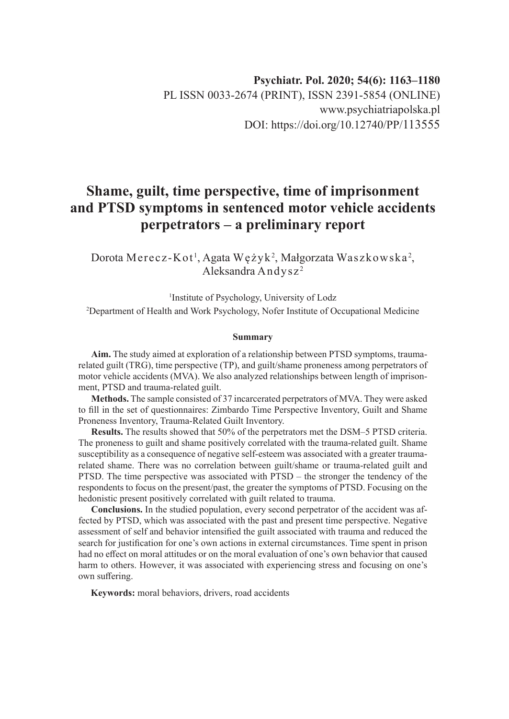# **Shame, guilt, time perspective, time of imprisonment and PTSD symptoms in sentenced motor vehicle accidents perpetrators – a preliminary report**

Dorota Merecz-Kot<sup>1</sup>, Agata Wężyk<sup>2</sup>, Małgorzata Waszkowska<sup>2</sup>, Aleksandra Andysz <sup>2</sup>

1 Institute of Psychology, University of Lodz 2 Department of Health and Work Psychology, Nofer Institute of Occupational Medicine

#### **Summary**

**Aim.** The study aimed at exploration of a relationship between PTSD symptoms, traumarelated guilt (TRG), time perspective (TP), and guilt/shame proneness among perpetrators of motor vehicle accidents (MVA). We also analyzed relationships between length of imprisonment, PTSD and trauma-related guilt.

**Methods.** The sample consisted of 37 incarcerated perpetrators of MVA. They were asked to fill in the set of questionnaires: Zimbardo Time Perspective Inventory, Guilt and Shame Proneness Inventory, Trauma-Related Guilt Inventory.

**Results.** The results showed that 50% of the perpetrators met the DSM–5 PTSD criteria. The proneness to guilt and shame positively correlated with the trauma-related guilt. Shame susceptibility as a consequence of negative self-esteem was associated with a greater traumarelated shame. There was no correlation between guilt/shame or trauma-related guilt and PTSD. The time perspective was associated with PTSD – the stronger the tendency of the respondents to focus on the present/past, the greater the symptoms of PTSD. Focusing on the hedonistic present positively correlated with guilt related to trauma.

**Conclusions.** In the studied population, every second perpetrator of the accident was affected by PTSD, which was associated with the past and present time perspective. Negative assessment of self and behavior intensified the guilt associated with trauma and reduced the search for justification for one's own actions in external circumstances. Time spent in prison had no effect on moral attitudes or on the moral evaluation of one's own behavior that caused harm to others. However, it was associated with experiencing stress and focusing on one's own suffering.

**Keywords:** moral behaviors, drivers, road accidents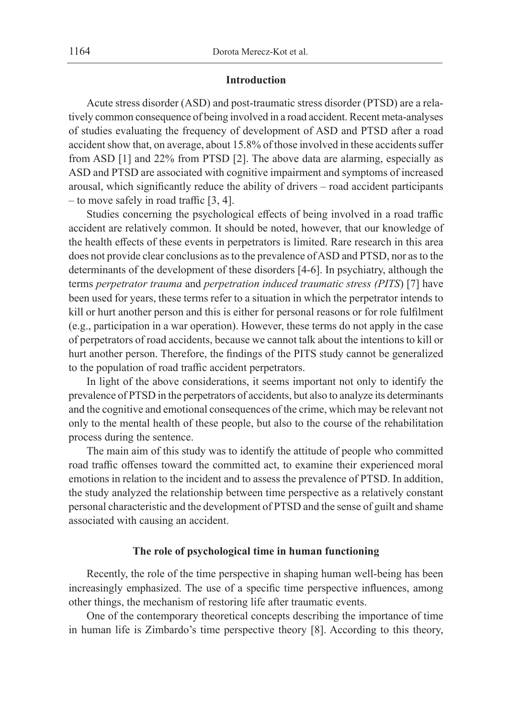#### **Introduction**

Acute stress disorder (ASD) and post-traumatic stress disorder (PTSD) are a relatively common consequence of being involved in a road accident. Recent meta-analyses of studies evaluating the frequency of development of ASD and PTSD after a road accident show that, on average, about 15.8% of those involved in these accidents suffer from ASD [1] and 22% from PTSD [2]. The above data are alarming, especially as ASD and PTSD are associated with cognitive impairment and symptoms of increased arousal, which significantly reduce the ability of drivers – road accident participants – to move safely in road traffic [3, 4].

Studies concerning the psychological effects of being involved in a road traffic accident are relatively common. It should be noted, however, that our knowledge of the health effects of these events in perpetrators is limited. Rare research in this area does not provide clear conclusions as to the prevalence of ASD and PTSD, nor as to the determinants of the development of these disorders [4-6]. In psychiatry, although the terms *perpetrator trauma* and *perpetration induced traumatic stress (PITS*) [7] have been used for years, these terms refer to a situation in which the perpetrator intends to kill or hurt another person and this is either for personal reasons or for role fulfilment (e.g., participation in a war operation). However, these terms do not apply in the case of perpetrators of road accidents, because we cannot talk about the intentions to kill or hurt another person. Therefore, the findings of the PITS study cannot be generalized to the population of road traffic accident perpetrators.

In light of the above considerations, it seems important not only to identify the prevalence of PTSD in the perpetrators of accidents, but also to analyze its determinants and the cognitive and emotional consequences of the crime, which may be relevant not only to the mental health of these people, but also to the course of the rehabilitation process during the sentence.

The main aim of this study was to identify the attitude of people who committed road traffic offenses toward the committed act, to examine their experienced moral emotions in relation to the incident and to assess the prevalence of PTSD. In addition, the study analyzed the relationship between time perspective as a relatively constant personal characteristic and the development of PTSD and the sense of guilt and shame associated with causing an accident.

## **The role of psychological time in human functioning**

Recently, the role of the time perspective in shaping human well-being has been increasingly emphasized. The use of a specific time perspective influences, among other things, the mechanism of restoring life after traumatic events.

One of the contemporary theoretical concepts describing the importance of time in human life is Zimbardo's time perspective theory [8]. According to this theory,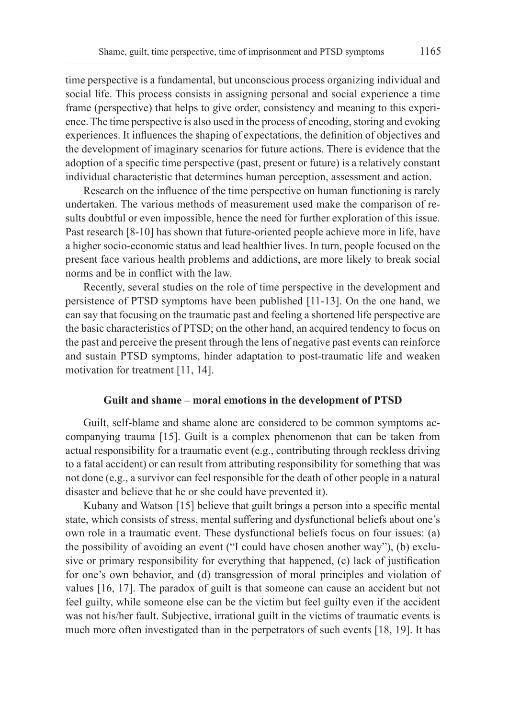time perspective is a fundamental, but unconscious process organizing individual and social life. This process consists in assigning personal and social experience a time frame (perspective) that helps to give order, consistency and meaning to this experience. The time perspective is also used in the process of encoding, storing and evoking experiences. It influences the shaping of expectations, the definition of objectives and the development of imaginary scenarios for future actions. There is evidence that the adoption of a specific time perspective (past, present or future) is a relatively constant individual characteristic that determines human perception, assessment and action.

Research on the influence of the time perspective on human functioning is rarely undertaken. The various methods of measurement used make the comparison of results doubtful or even impossible, hence the need for further exploration of this issue. Past research [8-10] has shown that future-oriented people achieve more in life, have a higher socio-economic status and lead healthier lives. In turn, people focused on the present face various health problems and addictions, are more likely to break social norms and be in conflict with the law.

Recently, several studies on the role of time perspective in the development and persistence of PTSD symptoms have been published [11-13]. On the one hand, we can say that focusing on the traumatic past and feeling a shortened life perspective are the basic characteristics of PTSD; on the other hand, an acquired tendency to focus on the past and perceive the present through the lens of negative past events can reinforce and sustain PTSD symptoms, hinder adaptation to post-traumatic life and weaken motivation for treatment [11, 14].

#### **Guilt and shame – moral emotions in the development of PTSD**

Guilt, self-blame and shame alone are considered to be common symptoms accompanying trauma [15]. Guilt is a complex phenomenon that can be taken from actual responsibility for a traumatic event (e.g., contributing through reckless driving to a fatal accident) or can result from attributing responsibility for something that was not done (e.g., a survivor can feel responsible for the death of other people in a natural disaster and believe that he or she could have prevented it).

Kubany and Watson [15] believe that guilt brings a person into a specific mental state, which consists of stress, mental suffering and dysfunctional beliefs about one's own role in a traumatic event. These dysfunctional beliefs focus on four issues: (a) the possibility of avoiding an event ("I could have chosen another way"), (b) exclusive or primary responsibility for everything that happened, (c) lack of justification for one's own behavior, and (d) transgression of moral principles and violation of values [16, 17]. The paradox of guilt is that someone can cause an accident but not feel guilty, while someone else can be the victim but feel guilty even if the accident was not his/her fault. Subjective, irrational guilt in the victims of traumatic events is much more often investigated than in the perpetrators of such events [18, 19]. It has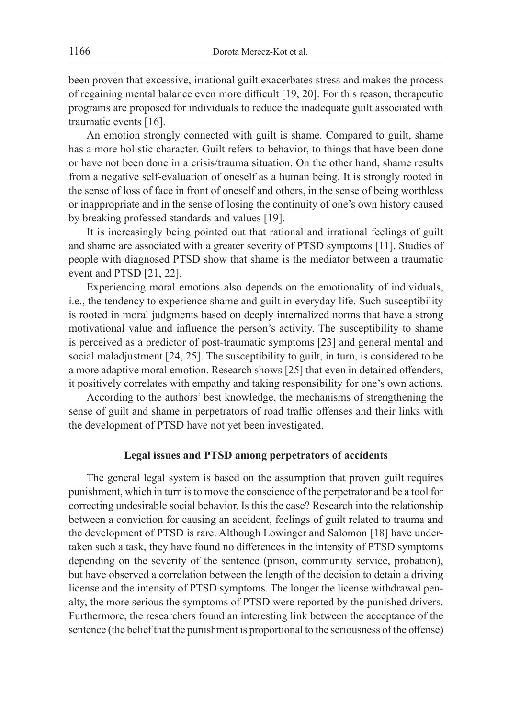been proven that excessive, irrational guilt exacerbates stress and makes the process of regaining mental balance even more difficult [19, 20]. For this reason, therapeutic programs are proposed for individuals to reduce the inadequate guilt associated with traumatic events [16].

An emotion strongly connected with guilt is shame. Compared to guilt, shame has a more holistic character. Guilt refers to behavior, to things that have been done or have not been done in a crisis/trauma situation. On the other hand, shame results from a negative self-evaluation of oneself as a human being. It is strongly rooted in the sense of loss of face in front of oneself and others, in the sense of being worthless or inappropriate and in the sense of losing the continuity of one's own history caused by breaking professed standards and values [19].

It is increasingly being pointed out that rational and irrational feelings of guilt and shame are associated with a greater severity of PTSD symptoms [11]. Studies of people with diagnosed PTSD show that shame is the mediator between a traumatic event and PTSD [21, 22].

Experiencing moral emotions also depends on the emotionality of individuals, i.e., the tendency to experience shame and guilt in everyday life. Such susceptibility is rooted in moral judgments based on deeply internalized norms that have a strong motivational value and influence the person's activity. The susceptibility to shame is perceived as a predictor of post-traumatic symptoms [23] and general mental and social maladjustment [24, 25]. The susceptibility to guilt, in turn, is considered to be a more adaptive moral emotion. Research shows [25] that even in detained offenders, it positively correlates with empathy and taking responsibility for one's own actions.

According to the authors' best knowledge, the mechanisms of strengthening the sense of guilt and shame in perpetrators of road traffic offenses and their links with the development of PTSD have not yet been investigated.

#### **Legal issues and PTSD among perpetrators of accidents**

The general legal system is based on the assumption that proven guilt requires punishment, which in turn is to move the conscience of the perpetrator and be a tool for correcting undesirable social behavior. Is this the case? Research into the relationship between a conviction for causing an accident, feelings of guilt related to trauma and the development of PTSD is rare. Although Lowinger and Salomon [18] have undertaken such a task, they have found no differences in the intensity of PTSD symptoms depending on the severity of the sentence (prison, community service, probation), but have observed a correlation between the length of the decision to detain a driving license and the intensity of PTSD symptoms. The longer the license withdrawal penalty, the more serious the symptoms of PTSD were reported by the punished drivers. Furthermore, the researchers found an interesting link between the acceptance of the sentence (the belief that the punishment is proportional to the seriousness of the offense)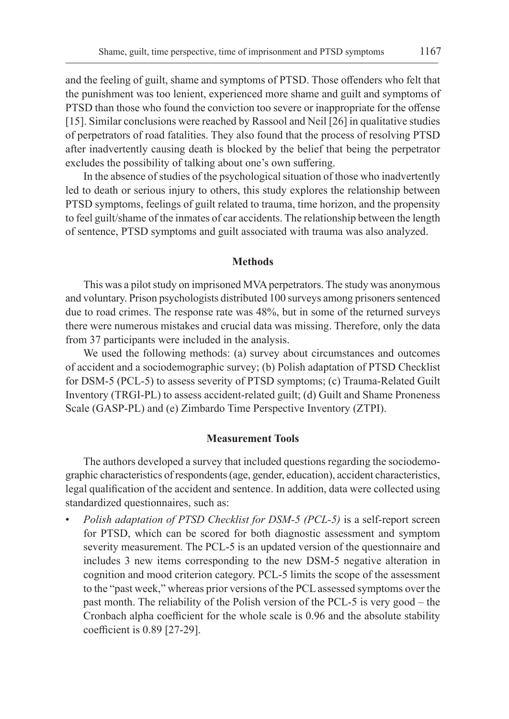and the feeling of guilt, shame and symptoms of PTSD. Those offenders who felt that the punishment was too lenient, experienced more shame and guilt and symptoms of PTSD than those who found the conviction too severe or inappropriate for the offense [15]. Similar conclusions were reached by Rassool and Neil [26] in qualitative studies of perpetrators of road fatalities. They also found that the process of resolving PTSD after inadvertently causing death is blocked by the belief that being the perpetrator excludes the possibility of talking about one's own suffering.

In the absence of studies of the psychological situation of those who inadvertently led to death or serious injury to others, this study explores the relationship between PTSD symptoms, feelings of guilt related to trauma, time horizon, and the propensity to feel guilt/shame of the inmates of car accidents. The relationship between the length of sentence, PTSD symptoms and guilt associated with trauma was also analyzed.

#### **Methods**

This was a pilot study on imprisoned MVA perpetrators. The study was anonymous and voluntary. Prison psychologists distributed 100 surveys among prisoners sentenced due to road crimes. The response rate was 48%, but in some of the returned surveys there were numerous mistakes and crucial data was missing. Therefore, only the data from 37 participants were included in the analysis.

We used the following methods: (a) survey about circumstances and outcomes of accident and a sociodemographic survey; (b) Polish adaptation of PTSD Checklist for DSM-5 (PCL-5) to assess severity of PTSD symptoms; (c) Trauma-Related Guilt Inventory (TRGI-PL) to assess accident-related guilt; (d) Guilt and Shame Proneness Scale (GASP-PL) and (e) Zimbardo Time Perspective Inventory (ZTPI).

#### **Measurement Tools**

The authors developed a survey that included questions regarding the sociodemographic characteristics of respondents (age, gender, education), accident characteristics, legal qualification of the accident and sentence. In addition, data were collected using standardized questionnaires, such as:

• *Polish adaptation of PTSD Checklist for DSM-5 (PCL-5)* is a self-report screen for PTSD, which can be scored for both diagnostic assessment and symptom severity measurement. The PCL-5 is an updated version of the questionnaire and includes 3 new items corresponding to the new DSM-5 negative alteration in cognition and mood criterion category. PCL-5 limits the scope of the assessment to the "past week," whereas prior versions of the PCL assessed symptoms over the past month. The reliability of the Polish version of the PCL-5 is very good – the Cronbach alpha coefficient for the whole scale is 0.96 and the absolute stability coefficient is 0.89 [27-29].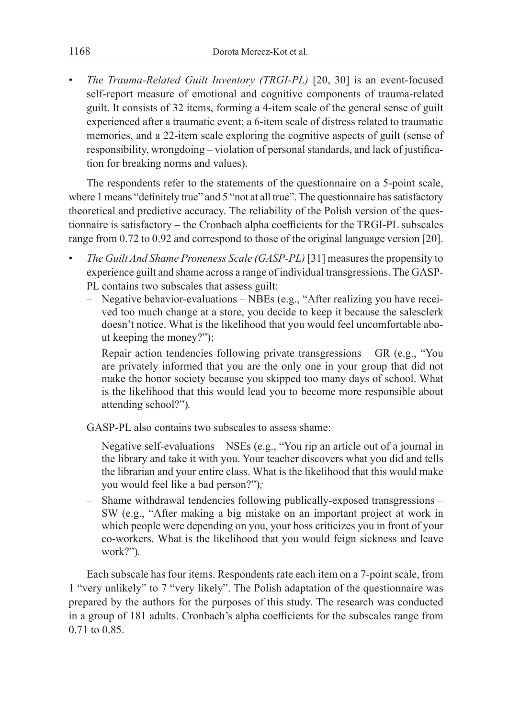• *The Trauma-Related Guilt Inventory (TRGI-PL)* [20, 30] is an event-focused self-report measure of emotional and cognitive components of trauma-related guilt. It consists of 32 items, forming a 4-item scale of the general sense of guilt experienced after a traumatic event; a 6-item scale of distress related to traumatic memories, and a 22-item scale exploring the cognitive aspects of guilt (sense of responsibility, wrongdoing – violation of personal standards, and lack of justification for breaking norms and values).

The respondents refer to the statements of the questionnaire on a 5-point scale, where 1 means "definitely true" and 5 "not at all true". The questionnaire has satisfactory theoretical and predictive accuracy. The reliability of the Polish version of the questionnaire is satisfactory – the Cronbach alpha coefficients for the TRGI-PL subscales range from 0.72 to 0.92 and correspond to those of the original language version [20].

- *The Guilt And Shame Proneness Scale (GASP-PL)* [31] measures the propensity to experience guilt and shame across a range of individual transgressions. The GASP-PL contains two subscales that assess guilt:
	- Negative behavior-evaluations NBEs (e.g., "After realizing you have received too much change at a store, you decide to keep it because the salesclerk doesn't notice. What is the likelihood that you would feel uncomfortable about keeping the money?");
	- Repair action tendencies following private transgressions GR (e.g., "You are privately informed that you are the only one in your group that did not make the honor society because you skipped too many days of school. What is the likelihood that this would lead you to become more responsible about attending school?")*.*

GASP-PL also contains two subscales to assess shame:

- Negative self-evaluations NSEs (e.g., "You rip an article out of a journal in the library and take it with you. Your teacher discovers what you did and tells the librarian and your entire class. What is the likelihood that this would make you would feel like a bad person?")*;*
- Shame withdrawal tendencies following publically-exposed transgressions SW (e.g., "After making a big mistake on an important project at work in which people were depending on you, your boss criticizes you in front of your co-workers. What is the likelihood that you would feign sickness and leave work?")*.*

Each subscale has four items. Respondents rate each item on a 7-point scale, from 1 "very unlikely" to 7 "very likely". The Polish adaptation of the questionnaire was prepared by the authors for the purposes of this study. The research was conducted in a group of 181 adults. Cronbach's alpha coefficients for the subscales range from 0.71 to 0.85.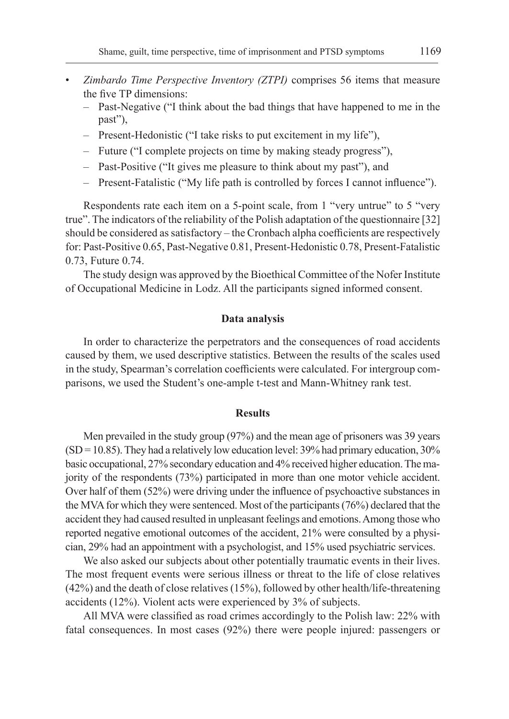- *Zimbardo Time Perspective Inventory (ZTPI)* comprises 56 items that measure the five TP dimensions:
	- Past-Negative ("I think about the bad things that have happened to me in the past"),
	- Present-Hedonistic ("I take risks to put excitement in my life"),
	- Future ("I complete projects on time by making steady progress"),
	- Past-Positive ("It gives me pleasure to think about my past"), and
	- Present-Fatalistic ("My life path is controlled by forces I cannot influence").

Respondents rate each item on a 5-point scale, from 1 "very untrue" to 5 "very true". The indicators of the reliability of the Polish adaptation of the questionnaire [32] should be considered as satisfactory – the Cronbach alpha coefficients are respectively for: Past-Positive 0.65, Past-Negative 0.81, Present-Hedonistic 0.78, Present-Fatalistic 0.73, Future 0.74.

The study design was approved by the Bioethical Committee of the Nofer Institute of Occupational Medicine in Lodz. All the participants signed informed consent.

#### **Data analysis**

In order to characterize the perpetrators and the consequences of road accidents caused by them, we used descriptive statistics. Between the results of the scales used in the study, Spearman's correlation coefficients were calculated. For intergroup comparisons, we used the Student's one-ample t-test and Mann-Whitney rank test.

#### **Results**

Men prevailed in the study group (97%) and the mean age of prisoners was 39 years  $(SD = 10.85)$ . They had a relatively low education level: 39% had primary education, 30% basic occupational, 27% secondary education and 4% received higher education. Themajority of the respondents (73%) participated in more than one motor vehicle accident. Over half of them (52%) were driving under the influence of psychoactive substances in the MVA for which they were sentenced. Most of the participants (76%) declared that the accident they had caused resulted in unpleasant feelings and emotions. Among those who reported negative emotional outcomes of the accident, 21% were consulted by a physician, 29% had an appointment with a psychologist, and 15% used psychiatric services.

We also asked our subjects about other potentially traumatic events in their lives. The most frequent events were serious illness or threat to the life of close relatives (42%) and the death of close relatives (15%), followed by other health/life-threatening accidents (12%). Violent acts were experienced by 3% of subjects.

All MVA were classified as road crimes accordingly to the Polish law: 22% with fatal consequences. In most cases (92%) there were people injured: passengers or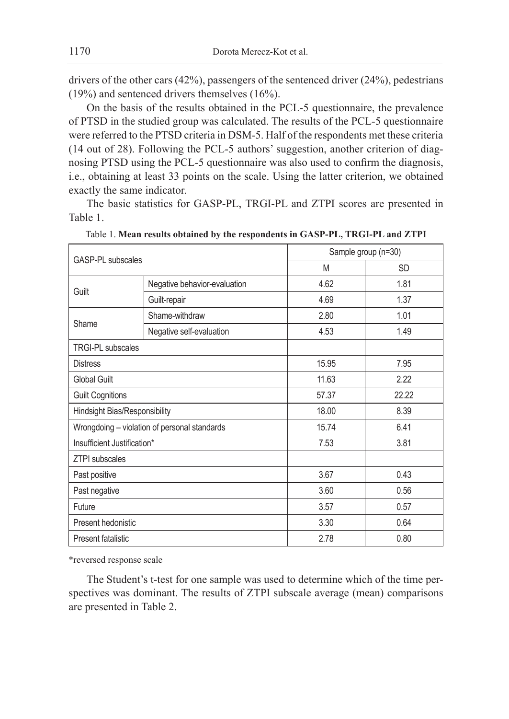drivers of the other cars  $(42%)$ , passengers of the sentenced driver  $(24%)$ , pedestrians (19%) and sentenced drivers themselves (16%).

On the basis of the results obtained in the PCL-5 questionnaire, the prevalence of PTSD in the studied group was calculated. The results of the PCL-5 questionnaire were referred to the PTSD criteria in DSM-5. Half of the respondents met these criteria (14 out of 28). Following the PCL-5 authors' suggestion, another criterion of diagnosing PTSD using the PCL-5 questionnaire was also used to confirm the diagnosis, i.e., obtaining at least 33 points on the scale. Using the latter criterion, we obtained exactly the same indicator.

The basic statistics for GASP-PL, TRGI-PL and ZTPI scores are presented in Table 1.

| GASP-PL subscales             |                                              | Sample group (n=30) |           |  |
|-------------------------------|----------------------------------------------|---------------------|-----------|--|
|                               |                                              | M                   | <b>SD</b> |  |
| Guilt                         | Negative behavior-evaluation                 | 4.62                | 1.81      |  |
|                               | Guilt-repair                                 | 4.69                | 1.37      |  |
|                               | Shame-withdraw                               | 2.80                | 1.01      |  |
| Shame                         | Negative self-evaluation                     | 4.53                | 1.49      |  |
| <b>TRGI-PL subscales</b>      |                                              |                     |           |  |
| <b>Distress</b>               |                                              | 15.95               | 7.95      |  |
| <b>Global Guilt</b>           |                                              | 11.63               | 2.22      |  |
| <b>Guilt Cognitions</b>       |                                              | 57.37               | 22.22     |  |
| Hindsight Bias/Responsibility |                                              | 18.00               | 8.39      |  |
|                               | Wrongdoing - violation of personal standards | 15.74               | 6.41      |  |
| Insufficient Justification*   |                                              | 7.53                | 3.81      |  |
| <b>ZTPI</b> subscales         |                                              |                     |           |  |
| Past positive                 |                                              | 3.67                | 0.43      |  |
| Past negative                 |                                              | 3.60                | 0.56      |  |
| Future                        |                                              | 3.57                | 0.57      |  |
| Present hedonistic            |                                              | 3.30                | 0.64      |  |
| Present fatalistic            |                                              | 2.78                | 0.80      |  |

| Table 1. Mean results obtained by the respondents in GASP-PL, TRGI-PL and ZTPI |  |  |  |
|--------------------------------------------------------------------------------|--|--|--|
|--------------------------------------------------------------------------------|--|--|--|

\*reversed response scale

The Student's t-test for one sample was used to determine which of the time perspectives was dominant. The results of ZTPI subscale average (mean) comparisons are presented in Table 2.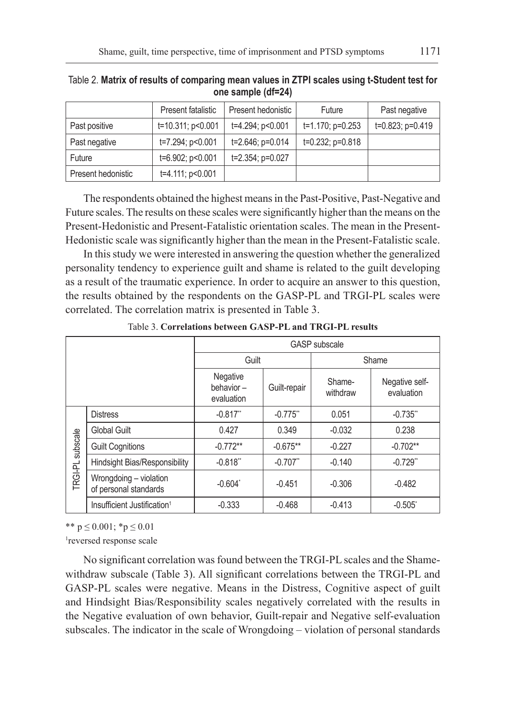|                    | Present fatalistic    | Present hedonistic | Future                | Past negative    |
|--------------------|-----------------------|--------------------|-----------------------|------------------|
| Past positive      | t=10.311; p<0.001     | t=4.294; p<0.001   | $t=1.170$ ; p=0.253   | t=0.823; p=0.419 |
| Past negative      | t=7.294; p<0.001      | t=2.646; p=0.014   | $t=0.232$ ; $p=0.818$ |                  |
| Future             | t=6.902; p<0.001      | t=2.354; p=0.027   |                       |                  |
| Present hedonistic | $t=4.111$ ; $p<0.001$ |                    |                       |                  |

Table 2. **Matrix of results of comparing mean values in ZTPI scales using t-Student test for one sample (df=24)**

The respondents obtained the highest means in the Past-Positive, Past-Negative and Future scales. The results on these scales were significantly higher than the means on the Present-Hedonistic and Present-Fatalistic orientation scales. The mean in the Present-Hedonistic scale was significantly higher than the mean in the Present-Fatalistic scale.

In this study we were interested in answering the question whether the generalized personality tendency to experience guilt and shame is related to the guilt developing as a result of the traumatic experience. In order to acquire an answer to this question, the results obtained by the respondents on the GASP-PL and TRGI-PL scales were correlated. The correlation matrix is presented in Table 3.

|                     |                                                 | <b>GASP</b> subscale                |                        |                    |                              |  |
|---------------------|-------------------------------------------------|-------------------------------------|------------------------|--------------------|------------------------------|--|
|                     |                                                 | Guilt                               |                        | Shame              |                              |  |
|                     |                                                 | Negative<br>behavior-<br>evaluation | Guilt-repair           | Shame-<br>withdraw | Negative self-<br>evaluation |  |
| subscale<br>TRGI-PL | <b>Distress</b>                                 | $-0.817$ "                          | $-0.775$               | 0.051              | $-0.735$ **                  |  |
|                     | Global Guilt                                    | 0.427                               | 0.349                  | $-0.032$           | 0.238                        |  |
|                     | <b>Guilt Cognitions</b>                         | $-0.772**$                          | $-0.675**$             | $-0.227$           | $-0.702**$                   |  |
|                     | Hindsight Bias/Responsibility                   | $-0.818"$                           | $-0.707$ <sup>**</sup> | $-0.140$           | $-0.729$ <sup>**</sup>       |  |
|                     | Wrongdoing - violation<br>of personal standards | $-0.604^*$                          | $-0.451$               | $-0.306$           | $-0.482$                     |  |
|                     | Insufficient Justification <sup>1</sup>         | $-0.333$                            | $-0.468$               | $-0.413$           | $-0.505$ <sup>*</sup>        |  |

Table 3. **Correlations between GASP-PL and TRGI-PL results**

\*\*  $p \le 0.001$ ; \* $p \le 0.01$ 

1 reversed response scale

No significant correlation was found between the TRGI-PL scales and the Shamewithdraw subscale (Table 3). All significant correlations between the TRGI-PL and GASP-PL scales were negative. Means in the Distress, Cognitive aspect of guilt and Hindsight Bias/Responsibility scales negatively correlated with the results in the Negative evaluation of own behavior, Guilt-repair and Negative self-evaluation subscales. The indicator in the scale of Wrongdoing – violation of personal standards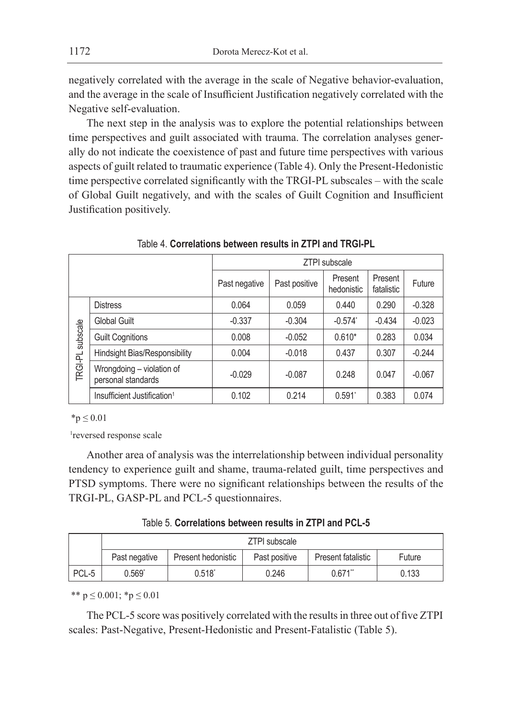negatively correlated with the average in the scale of Negative behavior-evaluation, and the average in the scale of Insufficient Justification negatively correlated with the Negative self-evaluation.

The next step in the analysis was to explore the potential relationships between time perspectives and guilt associated with trauma. The correlation analyses generally do not indicate the coexistence of past and future time perspectives with various aspects of guilt related to traumatic experience (Table 4). Only the Present-Hedonistic time perspective correlated significantly with the TRGI-PL subscales – with the scale of Global Guilt negatively, and with the scales of Guilt Cognition and Insufficient Justification positively.

|                     |                                                 | <b>ZTPI</b> subscale |               |                       |                       |          |  |
|---------------------|-------------------------------------------------|----------------------|---------------|-----------------------|-----------------------|----------|--|
|                     |                                                 | Past negative        | Past positive | Present<br>hedonistic | Present<br>fatalistic | Future   |  |
|                     | <b>Distress</b>                                 | 0.064                | 0.059         | 0.440                 | 0.290                 | $-0.328$ |  |
| subscale<br>TRGI-PL | Global Guilt                                    | $-0.337$             | $-0.304$      | $-0.574$ <sup>*</sup> | $-0.434$              | $-0.023$ |  |
|                     | <b>Guilt Cognitions</b>                         | 0.008                | $-0.052$      | $0.610*$              | 0.283                 | 0.034    |  |
|                     | Hindsight Bias/Responsibility                   | 0.004                | $-0.018$      | 0.437                 | 0.307                 | $-0.244$ |  |
|                     | Wrongdoing - violation of<br>personal standards | $-0.029$             | $-0.087$      | 0.248                 | 0.047                 | $-0.067$ |  |
|                     | Insufficient Justification <sup>1</sup>         | 0.102                | 0.214         | $0.591$ <sup>*</sup>  | 0.383                 | 0.074    |  |

Table 4. **Correlations between results in ZTPI and TRGI-PL**

 $*$ p  $\leq 0.01$ 

1reversed response scale

Another area of analysis was the interrelationship between individual personality tendency to experience guilt and shame, trauma-related guilt, time perspectives and PTSD symptoms. There were no significant relationships between the results of the TRGI-PL, GASP-PL and PCL-5 questionnaires.

Table 5. **Correlations between results in ZTPI and PCL-5**

|       | <b>ZTPI</b> subscale |                    |               |                    |        |
|-------|----------------------|--------------------|---------------|--------------------|--------|
|       | Past negative        | Present hedonistic | Past positive | Present fatalistic | Future |
| PCL-5 | $0.569^{\circ}$      | $0.518^{\circ}$    | 0.246         | 0.671"             | 0.133  |

\*\*  $p \le 0.001$ ; \* $p \le 0.01$ 

The PCL-5 score was positively correlated with the results in three out of five ZTPI scales: Past-Negative, Present-Hedonistic and Present-Fatalistic (Table 5).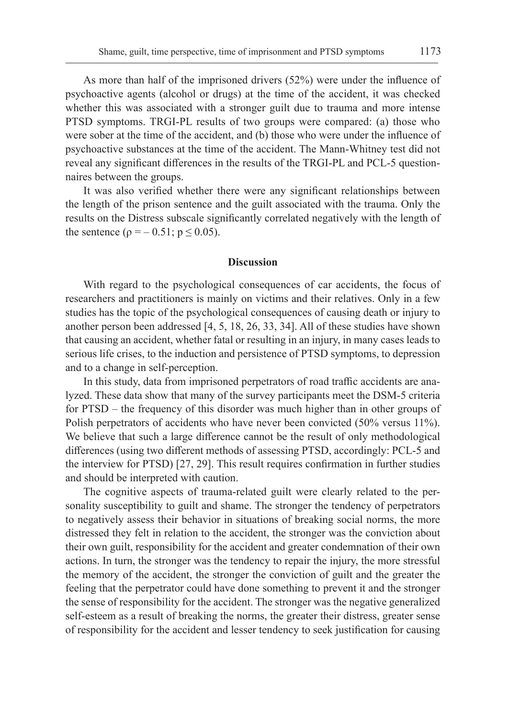As more than half of the imprisoned drivers (52%) were under the influence of psychoactive agents (alcohol or drugs) at the time of the accident, it was checked whether this was associated with a stronger guilt due to trauma and more intense PTSD symptoms. TRGI-PL results of two groups were compared: (a) those who were sober at the time of the accident, and (b) those who were under the influence of psychoactive substances at the time of the accident. The Mann-Whitney test did not reveal any significant differences in the results of the TRGI-PL and PCL-5 questionnaires between the groups.

It was also verified whether there were any significant relationships between the length of the prison sentence and the guilt associated with the trauma. Only the results on the Distress subscale significantly correlated negatively with the length of the sentence ( $\rho = -0.51$ ;  $p \le 0.05$ ).

#### **Discussion**

With regard to the psychological consequences of car accidents, the focus of researchers and practitioners is mainly on victims and their relatives. Only in a few studies has the topic of the psychological consequences of causing death or injury to another person been addressed [4, 5, 18, 26, 33, 34]. All of these studies have shown that causing an accident, whether fatal or resulting in an injury, in many cases leads to serious life crises, to the induction and persistence of PTSD symptoms, to depression and to a change in self-perception.

In this study, data from imprisoned perpetrators of road traffic accidents are analyzed. These data show that many of the survey participants meet the DSM-5 criteria for PTSD – the frequency of this disorder was much higher than in other groups of Polish perpetrators of accidents who have never been convicted (50% versus 11%). We believe that such a large difference cannot be the result of only methodological differences (using two different methods of assessing PTSD, accordingly: PCL-5 and the interview for PTSD) [27, 29]. This result requires confirmation in further studies and should be interpreted with caution.

The cognitive aspects of trauma-related guilt were clearly related to the personality susceptibility to guilt and shame. The stronger the tendency of perpetrators to negatively assess their behavior in situations of breaking social norms, the more distressed they felt in relation to the accident, the stronger was the conviction about their own guilt, responsibility for the accident and greater condemnation of their own actions. In turn, the stronger was the tendency to repair the injury, the more stressful the memory of the accident, the stronger the conviction of guilt and the greater the feeling that the perpetrator could have done something to prevent it and the stronger the sense of responsibility for the accident. The stronger was the negative generalized self-esteem as a result of breaking the norms, the greater their distress, greater sense of responsibility for the accident and lesser tendency to seek justification for causing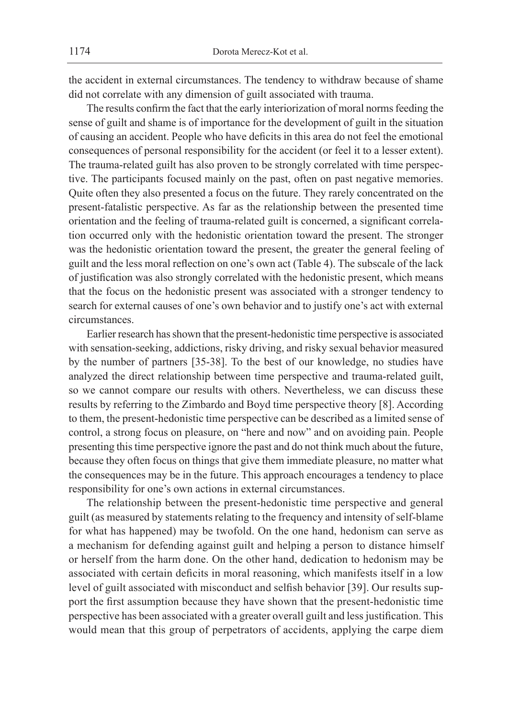the accident in external circumstances. The tendency to withdraw because of shame did not correlate with any dimension of guilt associated with trauma.

The results confirm the fact that the early interiorization of moral norms feeding the sense of guilt and shame is of importance for the development of guilt in the situation of causing an accident. People who have deficits in this area do not feel the emotional consequences of personal responsibility for the accident (or feel it to a lesser extent). The trauma-related guilt has also proven to be strongly correlated with time perspective. The participants focused mainly on the past, often on past negative memories. Quite often they also presented a focus on the future. They rarely concentrated on the present-fatalistic perspective. As far as the relationship between the presented time orientation and the feeling of trauma-related guilt is concerned, a significant correlation occurred only with the hedonistic orientation toward the present. The stronger was the hedonistic orientation toward the present, the greater the general feeling of guilt and the less moral reflection on one's own act (Table 4). The subscale of the lack of justification was also strongly correlated with the hedonistic present, which means that the focus on the hedonistic present was associated with a stronger tendency to search for external causes of one's own behavior and to justify one's act with external circumstances.

Earlier research has shown that the present-hedonistic time perspective is associated with sensation-seeking, addictions, risky driving, and risky sexual behavior measured by the number of partners [35-38]. To the best of our knowledge, no studies have analyzed the direct relationship between time perspective and trauma-related guilt, so we cannot compare our results with others. Nevertheless, we can discuss these results by referring to the Zimbardo and Boyd time perspective theory [8]. According to them, the present-hedonistic time perspective can be described as a limited sense of control, a strong focus on pleasure, on "here and now" and on avoiding pain. People presenting this time perspective ignore the past and do not think much about the future, because they often focus on things that give them immediate pleasure, no matter what the consequences may be in the future. This approach encourages a tendency to place responsibility for one's own actions in external circumstances.

The relationship between the present-hedonistic time perspective and general guilt (as measured by statements relating to the frequency and intensity of self-blame for what has happened) may be twofold. On the one hand, hedonism can serve as a mechanism for defending against guilt and helping a person to distance himself or herself from the harm done. On the other hand, dedication to hedonism may be associated with certain deficits in moral reasoning, which manifests itself in a low level of guilt associated with misconduct and selfish behavior [39]. Our results support the first assumption because they have shown that the present-hedonistic time perspective has been associated with a greater overall guilt and less justification. This would mean that this group of perpetrators of accidents, applying the carpe diem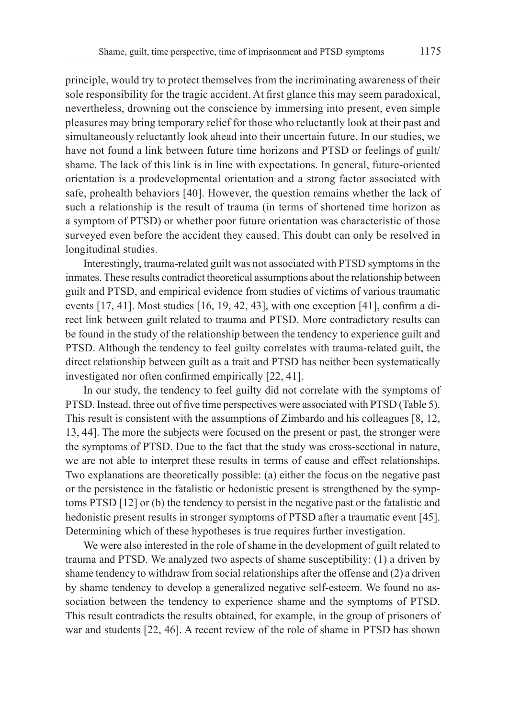principle, would try to protect themselves from the incriminating awareness of their sole responsibility for the tragic accident. At first glance this may seem paradoxical, nevertheless, drowning out the conscience by immersing into present, even simple pleasures may bring temporary relief for those who reluctantly look at their past and simultaneously reluctantly look ahead into their uncertain future. In our studies, we have not found a link between future time horizons and PTSD or feelings of guilt/ shame. The lack of this link is in line with expectations. In general, future-oriented orientation is a prodevelopmental orientation and a strong factor associated with safe, prohealth behaviors [40]. However, the question remains whether the lack of such a relationship is the result of trauma (in terms of shortened time horizon as a symptom of PTSD) or whether poor future orientation was characteristic of those surveyed even before the accident they caused. This doubt can only be resolved in longitudinal studies.

Interestingly, trauma-related guilt was not associated with PTSD symptoms in the inmates. These results contradict theoretical assumptions about the relationship between guilt and PTSD, and empirical evidence from studies of victims of various traumatic events [17, 41]. Most studies [16, 19, 42, 43], with one exception [41], confirm a direct link between guilt related to trauma and PTSD. More contradictory results can be found in the study of the relationship between the tendency to experience guilt and PTSD. Although the tendency to feel guilty correlates with trauma-related guilt, the direct relationship between guilt as a trait and PTSD has neither been systematically investigated nor often confirmed empirically [22, 41].

In our study, the tendency to feel guilty did not correlate with the symptoms of PTSD. Instead, three out of five time perspectives were associated with PTSD (Table 5). This result is consistent with the assumptions of Zimbardo and his colleagues [8, 12, 13, 44]. The more the subjects were focused on the present or past, the stronger were the symptoms of PTSD. Due to the fact that the study was cross-sectional in nature, we are not able to interpret these results in terms of cause and effect relationships. Two explanations are theoretically possible: (a) either the focus on the negative past or the persistence in the fatalistic or hedonistic present is strengthened by the symptoms PTSD [12] or (b) the tendency to persist in the negative past or the fatalistic and hedonistic present results in stronger symptoms of PTSD after a traumatic event [45]. Determining which of these hypotheses is true requires further investigation.

We were also interested in the role of shame in the development of guilt related to trauma and PTSD. We analyzed two aspects of shame susceptibility: (1) a driven by shame tendency to withdraw from social relationships after the offense and (2) a driven by shame tendency to develop a generalized negative self-esteem. We found no association between the tendency to experience shame and the symptoms of PTSD. This result contradicts the results obtained, for example, in the group of prisoners of war and students [22, 46]. A recent review of the role of shame in PTSD has shown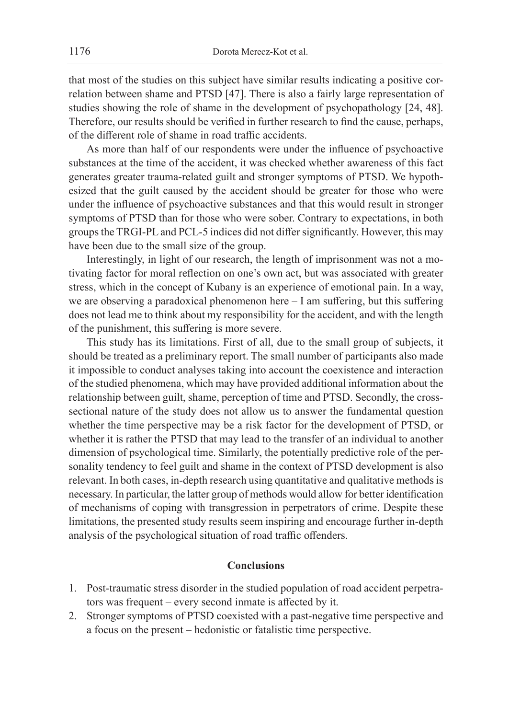that most of the studies on this subject have similar results indicating a positive correlation between shame and PTSD [47]. There is also a fairly large representation of studies showing the role of shame in the development of psychopathology [24, 48]. Therefore, our results should be verified in further research to find the cause, perhaps, of the different role of shame in road traffic accidents.

As more than half of our respondents were under the influence of psychoactive substances at the time of the accident, it was checked whether awareness of this fact generates greater trauma-related guilt and stronger symptoms of PTSD. We hypothesized that the guilt caused by the accident should be greater for those who were under the influence of psychoactive substances and that this would result in stronger symptoms of PTSD than for those who were sober. Contrary to expectations, in both groups the TRGI-PL and PCL-5 indices did not differ significantly. However, this may have been due to the small size of the group.

Interestingly, in light of our research, the length of imprisonment was not a motivating factor for moral reflection on one's own act, but was associated with greater stress, which in the concept of Kubany is an experience of emotional pain. In a way, we are observing a paradoxical phenomenon here – I am suffering, but this suffering does not lead me to think about my responsibility for the accident, and with the length of the punishment, this suffering is more severe.

This study has its limitations. First of all, due to the small group of subjects, it should be treated as a preliminary report. The small number of participants also made it impossible to conduct analyses taking into account the coexistence and interaction of the studied phenomena, which may have provided additional information about the relationship between guilt, shame, perception of time and PTSD. Secondly, the crosssectional nature of the study does not allow us to answer the fundamental question whether the time perspective may be a risk factor for the development of PTSD, or whether it is rather the PTSD that may lead to the transfer of an individual to another dimension of psychological time. Similarly, the potentially predictive role of the personality tendency to feel guilt and shame in the context of PTSD development is also relevant. In both cases, in-depth research using quantitative and qualitative methods is necessary. In particular, the latter group of methods would allow for better identification of mechanisms of coping with transgression in perpetrators of crime. Despite these limitations, the presented study results seem inspiring and encourage further in-depth analysis of the psychological situation of road traffic offenders.

## **Conclusions**

- 1. Post-traumatic stress disorder in the studied population of road accident perpetrators was frequent – every second inmate is affected by it.
- 2. Stronger symptoms of PTSD coexisted with a past-negative time perspective and a focus on the present – hedonistic or fatalistic time perspective.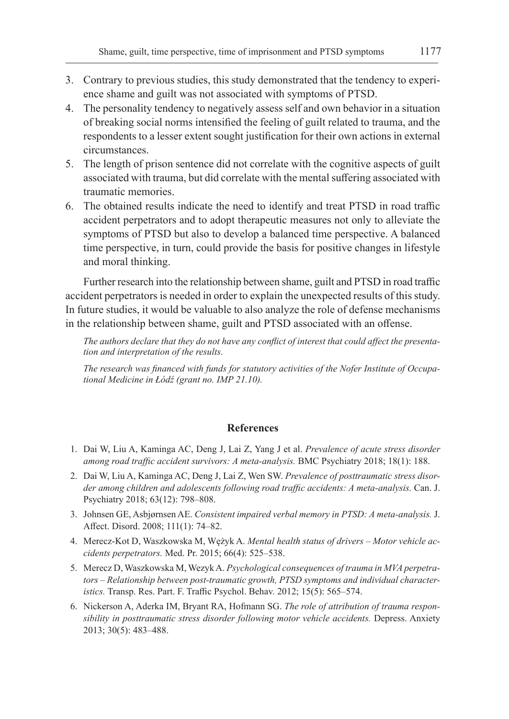- 3. Contrary to previous studies, this study demonstrated that the tendency to experience shame and guilt was not associated with symptoms of PTSD.
- 4. The personality tendency to negatively assess self and own behavior in a situation of breaking social norms intensified the feeling of guilt related to trauma, and the respondents to a lesser extent sought justification for their own actions in external circumstances.
- 5. The length of prison sentence did not correlate with the cognitive aspects of guilt associated with trauma, but did correlate with the mental suffering associated with traumatic memories.
- 6. The obtained results indicate the need to identify and treat PTSD in road traffic accident perpetrators and to adopt therapeutic measures not only to alleviate the symptoms of PTSD but also to develop a balanced time perspective. A balanced time perspective, in turn, could provide the basis for positive changes in lifestyle and moral thinking.

Further research into the relationship between shame, guilt and PTSD in road traffic accident perpetrators is needed in order to explain the unexpected results of this study. In future studies, it would be valuable to also analyze the role of defense mechanisms in the relationship between shame, guilt and PTSD associated with an offense.

*The authors declare that they do not have any conflict of interest that could affect the presentation and interpretation of the results.*

*The research was financed with funds for statutory activities of the Nofer Institute of Occupational Medicine in Łódź (grant no. IMP 21.10).*

# **References**

- 1. Dai W, Liu A, Kaminga AC, Deng J, Lai Z, Yang J et al. *Prevalence of acute stress disorder among road traffic accident survivors: A meta-analysis.* BMC Psychiatry 2018; 18(1): 188.
- 2. Dai W, Liu A, Kaminga AC, Deng J, Lai Z, Wen SW. *Prevalence of posttraumatic stress disorder among children and adolescents following road traffic accidents: A meta-analysis.* Can. J. Psychiatry 2018; 63(12): 798–808.
- 3. Johnsen GE, Asbjørnsen AE. *Consistent impaired verbal memory in PTSD: A meta-analysis.* J. Affect. Disord. 2008; 111(1): 74–82.
- 4. Merecz-Kot D, Waszkowska M, Wężyk A. *Mental health status of drivers Motor vehicle accidents perpetrators.* Med. Pr. 2015; 66(4): 525–538.
- 5. Merecz D, Waszkowska M, Wezyk A. *Psychological consequences of trauma in MVA perpetrators – Relationship between post-traumatic growth, PTSD symptoms and individual characteristics.* Transp. Res. Part. F. Traffic Psychol. Behav. 2012; 15(5): 565–574.
- 6. Nickerson A, Aderka IM, Bryant RA, Hofmann SG. *The role of attribution of trauma responsibility in posttraumatic stress disorder following motor vehicle accidents.* Depress. Anxiety 2013; 30(5): 483–488.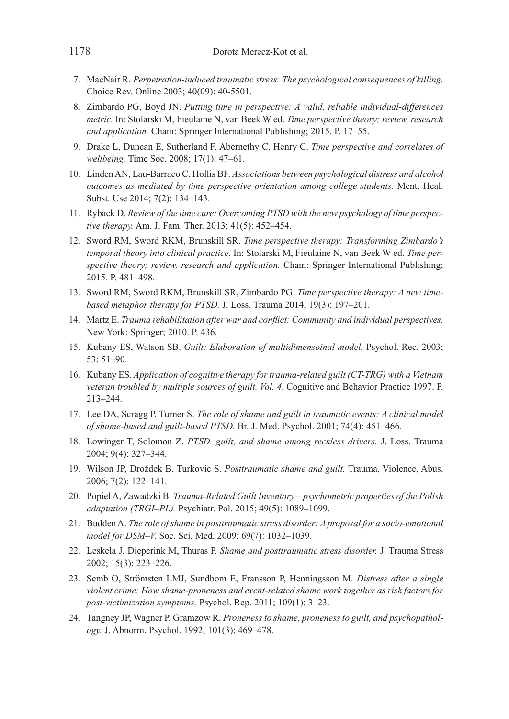- 7. MacNair R. *Perpetration-induced traumatic stress: The psychological consequences of killing.* Choice Rev. Online 2003; 40(09): 40-5501.
- 8. Zimbardo PG, Boyd JN. *Putting time in perspective: A valid, reliable individual-differences metric.* In: Stolarski M, Fieulaine N, van Beek W ed. *Time perspective theory; review, research and application.* Cham: Springer International Publishing; 2015. P. 17–55.
- 9. Drake L, Duncan E, Sutherland F, Abernethy C, Henry C. *Time perspective and correlates of wellbeing.* Time Soc. 2008; 17(1): 47–61.
- 10. Linden AN, Lau-Barraco C, Hollis BF. *Associations between psychological distress and alcohol outcomes as mediated by time perspective orientation among college students.* Ment. Heal. Subst. Use 2014; 7(2): 134–143.
- 11. Ryback D. *Review of the time cure: Overcoming PTSD with the new psychology of time perspective therapy.* Am. J. Fam. Ther. 2013; 41(5): 452–454.
- 12. Sword RM, Sword RKM, Brunskill SR. *Time perspective therapy: Transforming Zimbardo's temporal theory into clinical practice.* In: Stolarski M, Fieulaine N, van Beek W ed. *Time perspective theory; review, research and application.* Cham: Springer International Publishing; 2015. P. 481–498.
- 13. Sword RM, Sword RKM, Brunskill SR, Zimbardo PG. *Time perspective therapy: A new timebased metaphor therapy for PTSD.* J. Loss. Trauma 2014; 19(3): 197–201.
- 14. Martz E. *Trauma rehabilitation after war and conflict: Community and individual perspectives.* New York: Springer; 2010. P. 436.
- 15. Kubany ES, Watson SB. *Guilt: Elaboration of multidimensoinal model.* Psychol. Rec. 2003; 53: 51–90.
- 16. Kubany ES. *Application of cognitive therapy for trauma-related guilt (CT-TRG) with a Vietnam veteran troubled by multiple sources of guilt. Vol. 4*, Cognitive and Behavior Practice 1997. P. 213–244.
- 17. Lee DA, Scragg P, Turner S. *The role of shame and guilt in traumatic events: A clinical model of shame-based and guilt-based PTSD.* Br. J. Med. Psychol. 2001; 74(4): 451–466.
- 18. Lowinger T, Solomon Z. *PTSD, guilt, and shame among reckless drivers.* J. Loss. Trauma 2004; 9(4): 327–344.
- 19. Wilson JP, Droždek B, Turkovic S. *Posttraumatic shame and guilt.* Trauma, Violence, Abus. 2006; 7(2): 122–141.
- 20. Popiel A, Zawadzki B. *Trauma-Related Guilt Inventory psychometric properties of the Polish adaptation (TRGI–PL).* Psychiatr. Pol. 2015; 49(5): 1089–1099.
- 21. Budden A. *The role of shame in posttraumatic stress disorder: A proposal for a socio-emotional model for DSM–V.* Soc. Sci. Med. 2009; 69(7): 1032–1039.
- 22. Leskela J, Dieperink M, Thuras P. *Shame and posttraumatic stress disorder.* J. Trauma Stress 2002; 15(3): 223–226.
- 23. Semb O, Strömsten LMJ, Sundbom E, Fransson P, Henningsson M. *Distress after a single violent crime: How shame-proneness and event-related shame work together as risk factors for post-victimization symptoms.* Psychol. Rep. 2011; 109(1): 3–23.
- 24. Tangney JP, Wagner P, Gramzow R. *Proneness to shame, proneness to guilt, and psychopathology.* J. Abnorm. Psychol. 1992; 101(3): 469–478.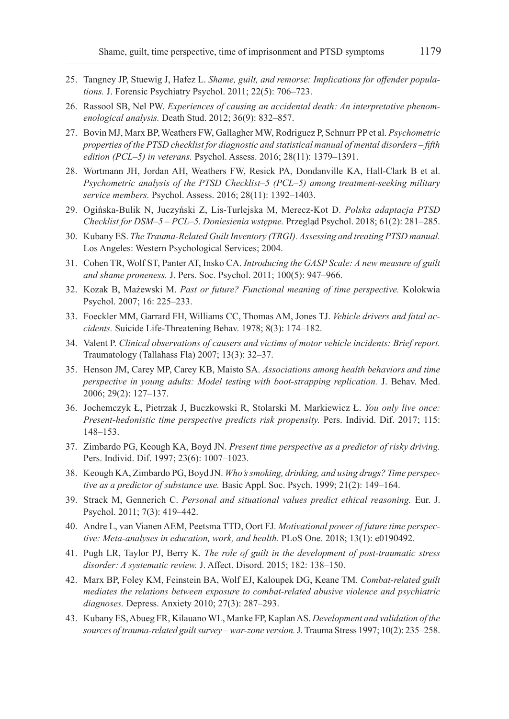- 25. Tangney JP, Stuewig J, Hafez L. *Shame, guilt, and remorse: Implications for offender populations.* J. Forensic Psychiatry Psychol. 2011; 22(5): 706–723.
- 26. Rassool SB, Nel PW. *Experiences of causing an accidental death: An interpretative phenomenological analysis.* Death Stud. 2012; 36(9): 832–857.
- 27. Bovin MJ, Marx BP, Weathers FW, Gallagher MW, Rodriguez P, Schnurr PP et al. *Psychometric properties of the PTSD checklist for diagnostic and statistical manual of mental disorders – fifth edition (PCL–5) in veterans.* Psychol. Assess. 2016; 28(11): 1379–1391.
- 28. Wortmann JH, Jordan AH, Weathers FW, Resick PA, Dondanville KA, Hall-Clark B et al. *Psychometric analysis of the PTSD Checklist–5 (PCL–5) among treatment-seeking military service members.* Psychol. Assess. 2016; 28(11): 1392–1403.
- 29. Ogińska-Bulik N, Juczyński Z, Lis-Turlejska M, Merecz-Kot D. *Polska adaptacja PTSD Checklist for DSM–5 – PCL–5. Doniesienia wstępne.* Przegląd Psychol. 2018; 61(2): 281–285.
- 30. Kubany ES. *The Trauma-Related Guilt Inventory (TRGI). Assessing and treating PTSD manual.* Los Angeles: Western Psychological Services; 2004.
- 31. Cohen TR, Wolf ST, Panter AT, Insko CA. *Introducing the GASP Scale: A new measure of guilt and shame proneness.* J. Pers. Soc. Psychol. 2011; 100(5): 947–966.
- 32. Kozak B, Mażewski M. *Past or future? Functional meaning of time perspective.* Kolokwia Psychol. 2007; 16: 225–233.
- 33. Foeckler MM, Garrard FH, Williams CC, Thomas AM, Jones TJ. *Vehicle drivers and fatal accidents.* Suicide Life‐Threatening Behav. 1978; 8(3): 174–182.
- 34. Valent P. *Clinical observations of causers and victims of motor vehicle incidents: Brief report.*  Traumatology (Tallahass Fla) 2007; 13(3): 32–37.
- 35. Henson JM, Carey MP, Carey KB, Maisto SA. *Associations among health behaviors and time perspective in young adults: Model testing with boot-strapping replication.* J. Behav. Med. 2006; 29(2): 127–137.
- 36. Jochemczyk Ł, Pietrzak J, Buczkowski R, Stolarski M, Markiewicz Ł. *You only live once: Present-hedonistic time perspective predicts risk propensity.* Pers. Individ. Dif. 2017; 115: 148–153.
- 37. Zimbardo PG, Keough KA, Boyd JN. *Present time perspective as a predictor of risky driving.*  Pers. Individ. Dif. 1997; 23(6): 1007–1023.
- 38. Keough KA, Zimbardo PG, Boyd JN. *Who's smoking, drinking, and using drugs? Time perspective as a predictor of substance use.* Basic Appl. Soc. Psych. 1999; 21(2): 149–164.
- 39. Strack M, Gennerich C. *Personal and situational values predict ethical reasoning.* Eur. J. Psychol. 2011; 7(3): 419–442.
- 40. Andre L, van Vianen AEM, Peetsma TTD, Oort FJ. *Motivational power of future time perspective: Meta-analyses in education, work, and health.* PLoS One. 2018; 13(1): e0190492.
- 41. Pugh LR, Taylor PJ, Berry K. *The role of guilt in the development of post-traumatic stress disorder: A systematic review.* J. Affect. Disord. 2015; 182: 138–150.
- 42. Marx BP, Foley KM, Feinstein BA, Wolf EJ, Kaloupek DG, Keane TM*. Combat-related guilt mediates the relations between exposure to combat-related abusive violence and psychiatric diagnoses.* Depress. Anxiety 2010; 27(3): 287–293.
- 43. Kubany ES, Abueg FR, Kilauano WL, Manke FP, Kaplan AS. *Development and validation of the sources of trauma-related guilt survey – war-zone version.* J. Trauma Stress 1997; 10(2): 235–258.